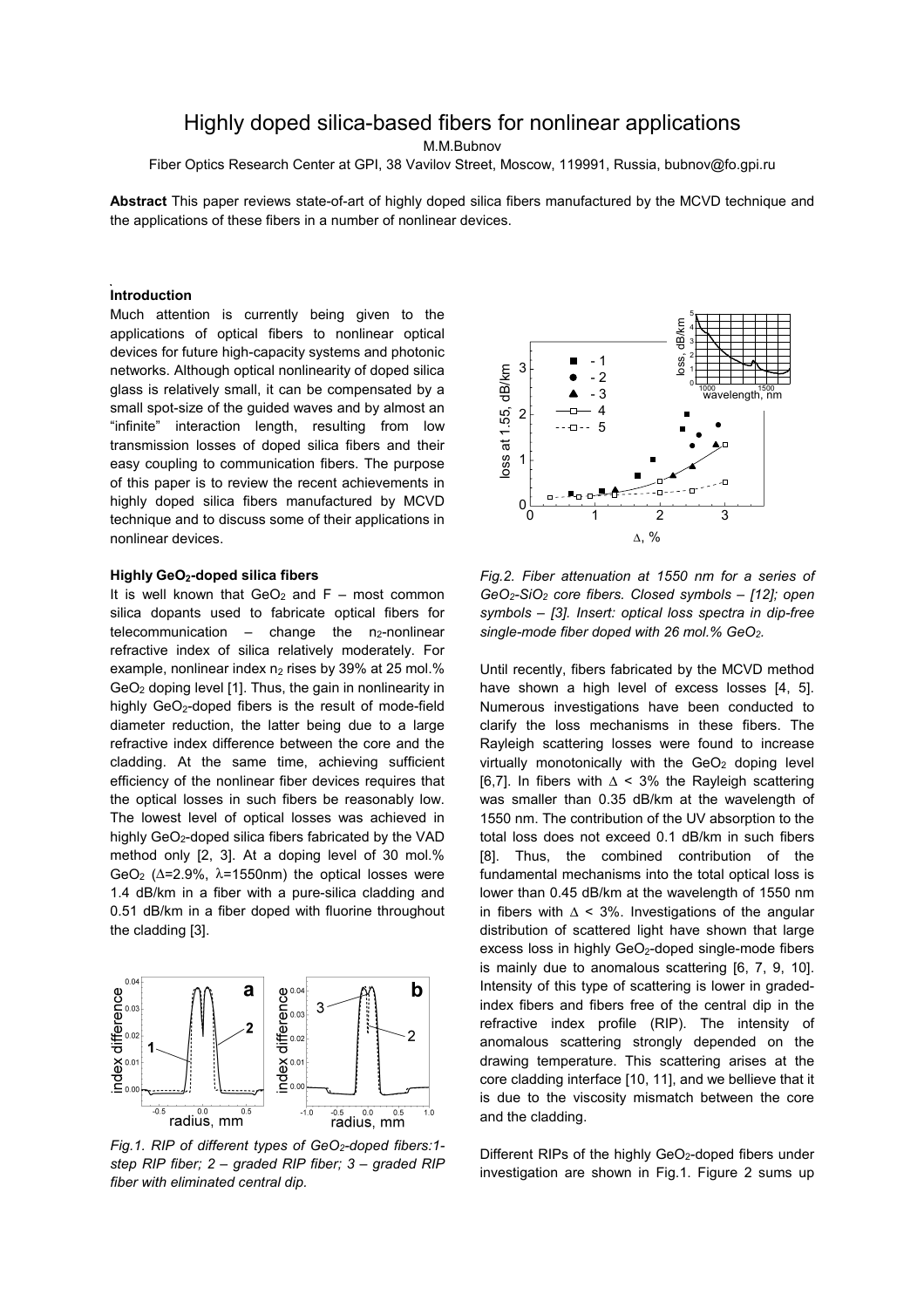# Highly doped silica-based fibers for nonlinear applications

M.M.Bubnov

Fiber Optics Research Center at GPI, 38 Vavilov Street, Moscow, 119991, Russia, bubnov@fo.gpi.ru

**Abstract** This paper reviews state-of-art of highly doped silica fibers manufactured by the MCVD technique and the applications of these fibers in a number of nonlinear devices.

# **Introduction**

Much attention is currently being given to the applications of optical fibers to nonlinear optical devices for future high-capacity systems and photonic networks. Although optical nonlinearity of doped silica glass is relatively small, it can be compensated by a small spot-size of the guided waves and by almost an "infinite" interaction length, resulting from low transmission losses of doped silica fibers and their easy coupling to communication fibers. The purpose of this paper is to review the recent achievements in highly doped silica fibers manufactured by MCVD technique and to discuss some of their applications in nonlinear devices.

### **Highly GeO2-doped silica fibers**

It is well known that  $GeO<sub>2</sub>$  and  $F$  – most common silica dopants used to fabricate optical fibers for telecommunication  $-$  change the n<sub>2</sub>-nonlinear refractive index of silica relatively moderately. For example, nonlinear index  $n_2$  rises by 39% at 25 mol.% GeO2 doping level [1]. Thus, the gain in nonlinearity in highly GeO<sub>2</sub>-doped fibers is the result of mode-field diameter reduction, the latter being due to a large refractive index difference between the core and the cladding. At the same time, achieving sufficient efficiency of the nonlinear fiber devices requires that the optical losses in such fibers be reasonably low. The lowest level of optical losses was achieved in highly GeO<sub>2</sub>-doped silica fibers fabricated by the VAD method only [2, 3]. At a doping level of 30 mol.% GeO<sub>2</sub> ( $\Delta$ =2.9%,  $\lambda$ =1550nm) the optical losses were 1.4 dB/km in a fiber with a pure-silica cladding and 0.51 dB/km in a fiber doped with fluorine throughout the cladding [3].



*Fig.1. RIP of different types of GeO2-doped fibers:1 step RIP fiber; 2 – graded RIP fiber; 3 – graded RIP fiber with eliminated central dip.* 



*Fig.2. Fiber attenuation at 1550 nm for a series of GeO2-SiO2 core fibers. Closed symbols – [12]; open symbols – [3]. Insert: optical loss spectra in dip-free single-mode fiber doped with 26 mol.% GeO2.* 

Until recently, fibers fabricated by the MCVD method have shown a high level of excess losses [4, 5]. Numerous investigations have been conducted to clarify the loss mechanisms in these fibers. The Rayleigh scattering losses were found to increase virtually monotonically with the  $GeO<sub>2</sub>$  doping level [6,7]. In fibers with  $\Delta$  < 3% the Rayleigh scattering was smaller than 0.35 dB/km at the wavelength of 1550 nm. The contribution of the UV absorption to the total loss does not exceed 0.1 dB/km in such fibers [8]. Thus, the combined contribution of the fundamental mechanisms into the total optical loss is lower than 0.45 dB/km at the wavelength of 1550 nm in fibers with  $\Delta$  < 3%. Investigations of the angular distribution of scattered light have shown that large excess loss in highly GeO<sub>2</sub>-doped single-mode fibers is mainly due to anomalous scattering [6, 7, 9, 10]. Intensity of this type of scattering is lower in gradedindex fibers and fibers free of the central dip in the refractive index profile (RIP). The intensity of anomalous scattering strongly depended on the drawing temperature. This scattering arises at the core cladding interface [10, 11], and we bellieve that it is due to the viscosity mismatch between the core and the cladding.

Different RIPs of the highly GeO<sub>2</sub>-doped fibers under investigation are shown in Fig.1. Figure 2 sums up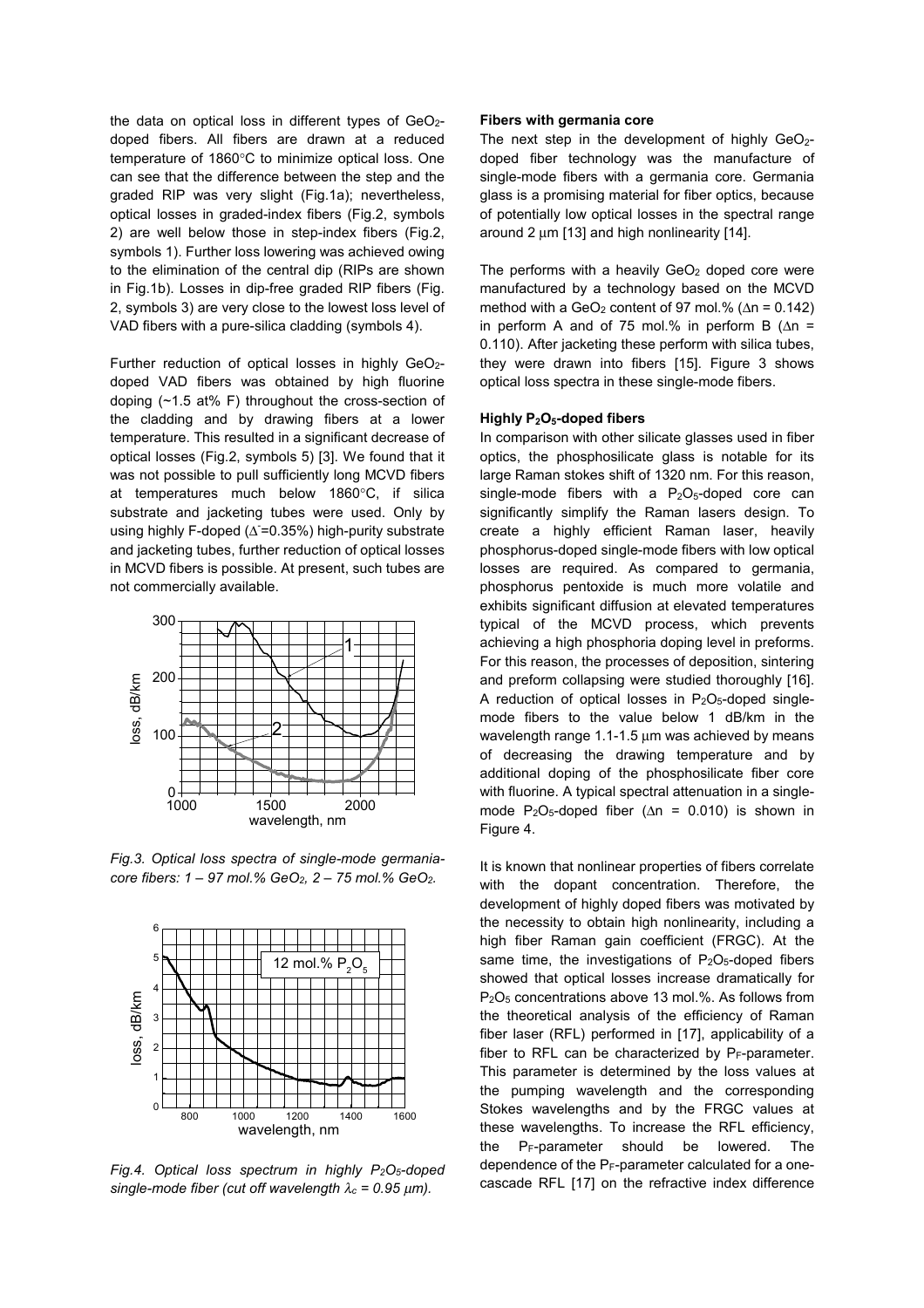the data on optical loss in different types of  $GeO<sub>2</sub>$ doped fibers. All fibers are drawn at a reduced temperature of 1860°C to minimize optical loss. One can see that the difference between the step and the graded RIP was very slight (Fig.1a); nevertheless, optical losses in graded-index fibers (Fig.2, symbols 2) are well below those in step-index fibers (Fig.2, symbols 1). Further loss lowering was achieved owing to the elimination of the central dip (RIPs are shown in Fig.1b). Losses in dip-free graded RIP fibers (Fig. 2, symbols 3) are very close to the lowest loss level of VAD fibers with a pure-silica cladding (symbols 4).

Further reduction of optical losses in highly GeO<sub>2</sub>doped VAD fibers was obtained by high fluorine doping (~1.5 at% F) throughout the cross-section of the cladding and by drawing fibers at a lower temperature. This resulted in a significant decrease of optical losses (Fig.2, symbols 5) [3]. We found that it was not possible to pull sufficiently long MCVD fibers at temperatures much below 1860°C, if silica substrate and jacketing tubes were used. Only by using highly F-doped (∆ = 0.35%) high-purity substrate and jacketing tubes, further reduction of optical losses in MCVD fibers is possible. At present, such tubes are not commercially available.



*Fig.3. Optical loss spectra of single-mode germaniacore fibers: 1 – 97 mol.% GeO2, 2 – 75 mol.% GeO2.* 



*Fig.4. Optical loss spectrum in highly P2O5-doped single-mode fiber (cut off wavelength*  $\lambda_c = 0.95 \mu m$ *).* 

#### **Fibers with germania core**

The next step in the development of highly  $GeO<sub>2</sub>$ doped fiber technology was the manufacture of single-mode fibers with a germania core. Germania glass is a promising material for fiber optics, because of potentially low optical losses in the spectral range around 2 um [13] and high nonlinearity [14].

The performs with a heavily  $GeO<sub>2</sub>$  doped core were manufactured by a technology based on the MCVD method with a GeO<sub>2</sub> content of 97 mol.% ( $\Delta n = 0.142$ ) in perform A and of 75 mol.% in perform B  $(\Delta n =$ 0.110). After jacketing these perform with silica tubes, they were drawn into fibers [15]. Figure 3 shows optical loss spectra in these single-mode fibers.

# **Highly P2O5-doped fibers**

In comparison with other silicate glasses used in fiber optics, the phosphosilicate glass is notable for its large Raman stokes shift of 1320 nm. For this reason, single-mode fibers with a  $P_2O_5$ -doped core can significantly simplify the Raman lasers design. To create a highly efficient Raman laser, heavily phosphorus-doped single-mode fibers with low optical losses are required. As compared to germania, phosphorus pentoxide is much more volatile and exhibits significant diffusion at elevated temperatures typical of the MCVD process, which prevents achieving a high phosphoria doping level in preforms. For this reason, the processes of deposition, sintering and preform collapsing were studied thoroughly [16]. A reduction of optical losses in  $P_2O_5$ -doped singlemode fibers to the value below 1 dB/km in the wavelength range  $1.1$ -1.5  $\mu$ m was achieved by means of decreasing the drawing temperature and by additional doping of the phosphosilicate fiber core with fluorine. A typical spectral attenuation in a singlemode P<sub>2</sub>O<sub>5</sub>-doped fiber ( $\Delta n = 0.010$ ) is shown in Figure 4.

It is known that nonlinear properties of fibers correlate with the dopant concentration. Therefore, the development of highly doped fibers was motivated by the necessity to obtain high nonlinearity, including a high fiber Raman gain coefficient (FRGC). At the same time, the investigations of  $P_2O_5$ -doped fibers showed that optical losses increase dramatically for P2O5 concentrations above 13 mol.%. As follows from the theoretical analysis of the efficiency of Raman fiber laser (RFL) performed in [17], applicability of a fiber to RFL can be characterized by  $P_F$ -parameter. This parameter is determined by the loss values at the pumping wavelength and the corresponding Stokes wavelengths and by the FRGC values at these wavelengths. To increase the RFL efficiency, the  $P_F$ -parameter should be lowered. The dependence of the  $P_F$ -parameter calculated for a onecascade RFL [17] on the refractive index difference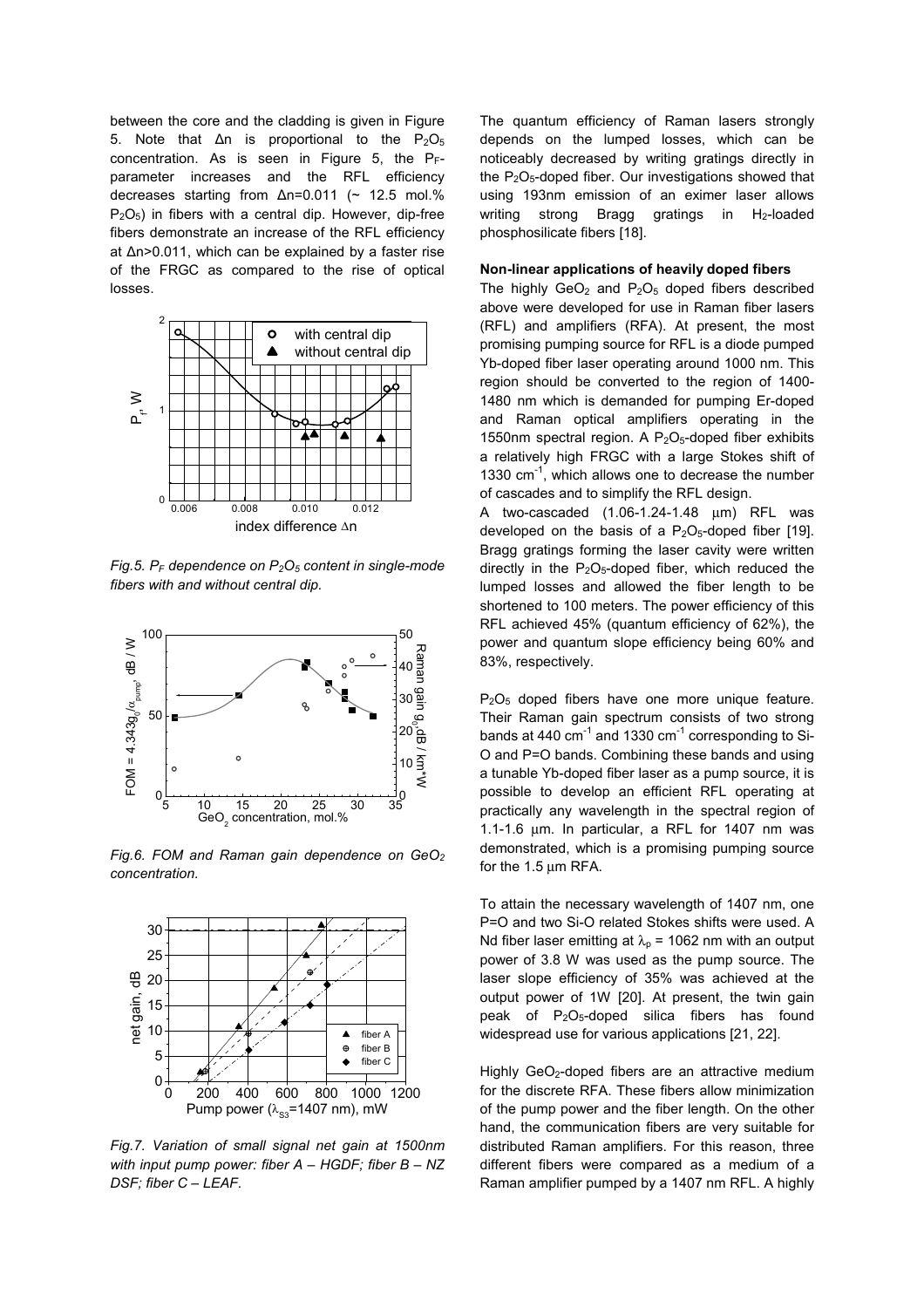between the core and the cladding is given in Figure 5. Note that  $\Delta n$  is proportional to the P<sub>2</sub>O<sub>5</sub> concentration. As is seen in Figure 5, the PFparameter increases and the RFL efficiency decreases starting from Δn=0.011 (~ 12.5 mol.%  $P<sub>2</sub>O<sub>5</sub>$ ) in fibers with a central dip. However, dip-free fibers demonstrate an increase of the RFL efficiency at Δn>0.011, which can be explained by a faster rise of the FRGC as compared to the rise of optical losses.



*Fig.5. PF dependence on P2O5 content in single-mode fibers with and without central dip.* 



*Fig.6. FOM and Raman gain dependence on GeO2 concentration.* 



*Fig.7. Variation of small signal net gain at 1500nm with input pump power: fiber A – HGDF; fiber B – NZ DSF; fiber C – LEAF.* 

The quantum efficiency of Raman lasers strongly depends on the lumped losses, which can be noticeably decreased by writing gratings directly in the  $P_2O_5$ -doped fiber. Our investigations showed that using 193nm emission of an eximer laser allows writing strong Bragg gratings in  $H_2$ -loaded phosphosilicate fibers [18].

#### **Non-linear applications of heavily doped fibers**

The highly  $GeO<sub>2</sub>$  and  $P<sub>2</sub>O<sub>5</sub>$  doped fibers described above were developed for use in Raman fiber lasers (RFL) and amplifiers (RFA). At present, the most promising pumping source for RFL is a diode pumped Yb-doped fiber laser operating around 1000 nm. This region should be converted to the region of 1400- 1480 nm which is demanded for pumping Er-doped and Raman optical amplifiers operating in the 1550nm spectral region. A  $P_2O_5$ -doped fiber exhibits a relatively high FRGC with a large Stokes shift of 1330  $cm^{-1}$ , which allows one to decrease the number of cascades and to simplify the RFL design.

A two-cascaded  $(1.06-1.24-1.48 \mu m)$  RFL was developed on the basis of a  $P_2O_5$ -doped fiber [19]. Bragg gratings forming the laser cavity were written directly in the  $P_2O_5$ -doped fiber, which reduced the lumped losses and allowed the fiber length to be shortened to 100 meters. The power efficiency of this RFL achieved 45% (quantum efficiency of 62%), the power and quantum slope efficiency being 60% and 83%, respectively.

 $P_2O_5$  doped fibers have one more unique feature. Their Raman gain spectrum consists of two strong bands at 440 cm $^{-1}$  and 1330 cm $^{-1}$  corresponding to Si-O and P=O bands. Combining these bands and using a tunable Yb-doped fiber laser as a pump source, it is possible to develop an efficient RFL operating at practically any wavelength in the spectral region of 1.1-1.6 µm. In particular, a RFL for 1407 nm was demonstrated, which is a promising pumping source for the 1.5 µm RFA.

To attain the necessary wavelength of 1407 nm, one P=O and two Si-O related Stokes shifts were used. A Nd fiber laser emitting at  $\lambda_p$  = 1062 nm with an output power of 3.8 W was used as the pump source. The laser slope efficiency of 35% was achieved at the output power of 1W [20]. At present, the twin gain peak of P2O5-doped silica fibers has found widespread use for various applications [21, 22].

Highly GeO<sub>2</sub>-doped fibers are an attractive medium for the discrete RFA. These fibers allow minimization of the pump power and the fiber length. On the other hand, the communication fibers are very suitable for distributed Raman amplifiers. For this reason, three different fibers were compared as a medium of a Raman amplifier pumped by a 1407 nm RFL. A highly